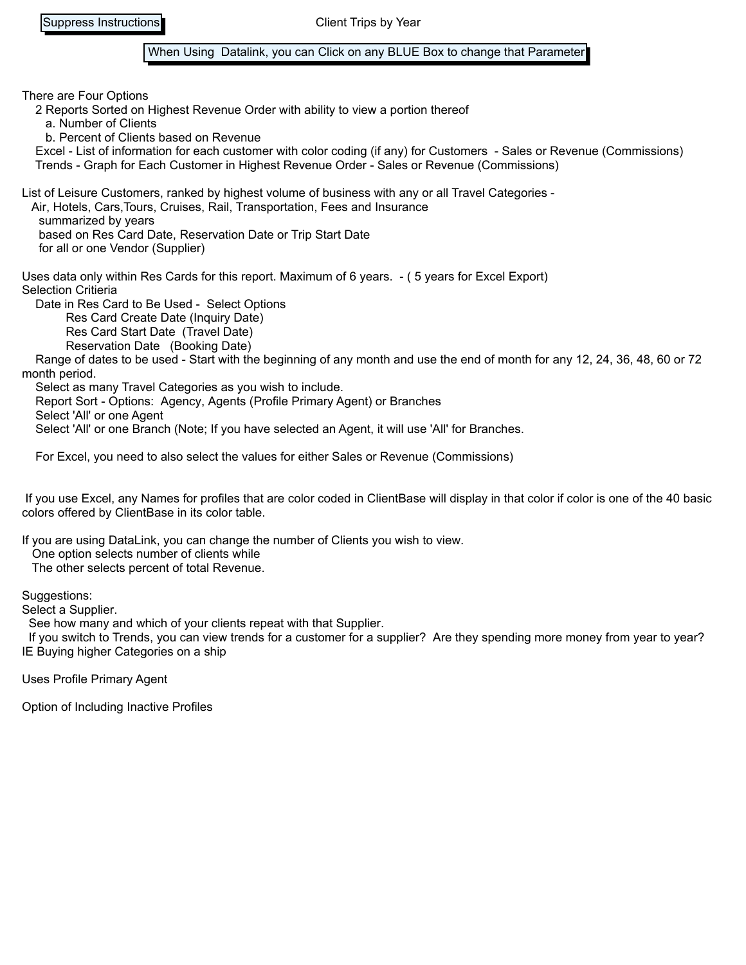## When Using Datalink, you can Click on any BLUE Box to change that Parameter

There are Four Options 2 Reports Sorted on Highest Revenue Order with ability to view a portion thereof a. Number of Clients b. Percent of Clients based on Revenue Excel - List of information for each customer with color coding (if any) for Customers - Sales or Revenue (Commissions) Trends - Graph for Each Customer in Highest Revenue Order - Sales or Revenue (Commissions) List of Leisure Customers, ranked by highest volume of business with any or all Travel Categories - Air, Hotels, Cars,Tours, Cruises, Rail, Transportation, Fees and Insurance summarized by years based on Res Card Date, Reservation Date or Trip Start Date for all or one Vendor (Supplier) Uses data only within Res Cards for this report. Maximum of 6 years. - ( 5 years for Excel Export) Selection Critieria Date in Res Card to Be Used - Select Options Res Card Create Date (Inquiry Date) Res Card Start Date (Travel Date) Reservation Date (Booking Date) Range of dates to be used - Start with the beginning of any month and use the end of month for any 12, 24, 36, 48, 60 or 72 month period. Select as many Travel Categories as you wish to include.

Report Sort - Options: Agency, Agents (Profile Primary Agent) or Branches

Select 'All' or one Agent

Select 'All' or one Branch (Note; If you have selected an Agent, it will use 'All' for Branches.

For Excel, you need to also select the values for either Sales or Revenue (Commissions)

 If you use Excel, any Names for profiles that are color coded in ClientBase will display in that color if color is one of the 40 basic colors offered by ClientBase in its color table.

If you are using DataLink, you can change the number of Clients you wish to view. One option selects number of clients while

The other selects percent of total Revenue.

Suggestions:

Select a Supplier.

See how many and which of your clients repeat with that Supplier.

 If you switch to Trends, you can view trends for a customer for a supplier? Are they spending more money from year to year? IE Buying higher Categories on a ship

Uses Profile Primary Agent

Option of Including Inactive Profiles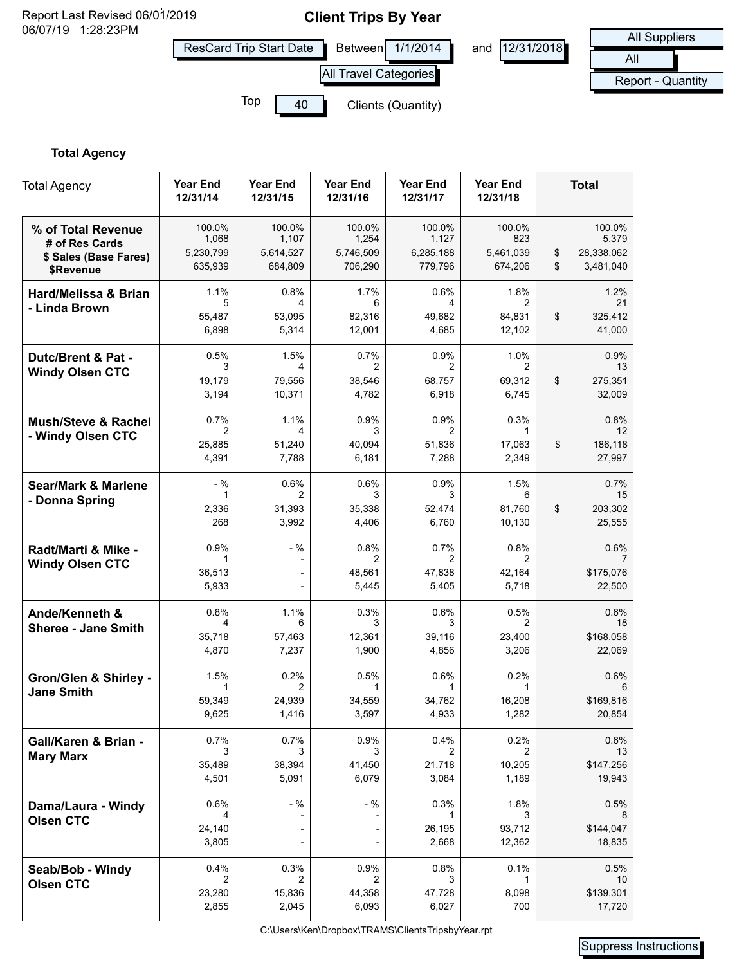

# **Total Agency**

| <b>Total Agency</b>                                                        | Year End<br>12/31/14                    | <b>Year End</b><br>12/31/15             | <b>Year End</b><br>12/31/16             | <b>Year End</b><br>12/31/17             | <b>Year End</b><br>12/31/18            |          | <b>Total</b>                                   |
|----------------------------------------------------------------------------|-----------------------------------------|-----------------------------------------|-----------------------------------------|-----------------------------------------|----------------------------------------|----------|------------------------------------------------|
| % of Total Revenue<br># of Res Cards<br>\$ Sales (Base Fares)<br>\$Revenue | 100.0%<br>1,068<br>5,230,799<br>635,939 | 100.0%<br>1,107<br>5,614,527<br>684,809 | 100.0%<br>1,254<br>5,746,509<br>706,290 | 100.0%<br>1,127<br>6,285,188<br>779,796 | 100.0%<br>823<br>5,461,039<br>674,206  | \$<br>\$ | 100.0%<br>5,379<br>28,338,062<br>3,481,040     |
| Hard/Melissa & Brian<br>- Linda Brown                                      | 1.1%<br>5<br>55,487<br>6,898            | 0.8%<br>4<br>53,095<br>5,314            | 1.7%<br>6<br>82,316<br>12,001           | 0.6%<br>4<br>49,682<br>4,685            | 1.8%<br>2<br>84,831<br>12,102          | \$       | 1.2%<br>21<br>325,412<br>41,000                |
| Dutc/Brent & Pat -<br><b>Windy Olsen CTC</b>                               | 0.5%<br>3<br>19,179<br>3,194            | 1.5%<br>4<br>79,556<br>10,371           | 0.7%<br>2<br>38,546<br>4,782            | 0.9%<br>2<br>68,757<br>6,918            | 1.0%<br>2<br>69,312<br>6,745           | \$       | 0.9%<br>13<br>275,351<br>32,009                |
| <b>Mush/Steve &amp; Rachel</b><br>- Windy Olsen CTC                        | 0.7%<br>2<br>25,885<br>4,391            | 1.1%<br>4<br>51,240<br>7,788            | 0.9%<br>3<br>40,094<br>6,181            | 0.9%<br>2<br>51,836<br>7,288            | 0.3%<br>$\mathbf 1$<br>17,063<br>2,349 | \$       | 0.8%<br>$12 \overline{ }$<br>186,118<br>27,997 |
| <b>Sear/Mark &amp; Marlene</b><br>- Donna Spring                           | $-$ %<br>1<br>2,336<br>268              | $0.6\%$<br>2<br>31,393<br>3,992         | 0.6%<br>3<br>35,338<br>4,406            | 0.9%<br>3<br>52,474<br>6,760            | 1.5%<br>6<br>81,760<br>10,130          | \$       | 0.7%<br>15<br>203,302<br>25,555                |
| Radt/Marti & Mike -<br><b>Windy Olsen CTC</b>                              | 0.9%<br>1<br>36,513<br>5,933            | $-$ %<br>$\overline{\phantom{a}}$<br>÷  | 0.8%<br>2<br>48,561<br>5,445            | 0.7%<br>2<br>47,838<br>5,405            | 0.8%<br>2<br>42,164<br>5,718           |          | 0.6%<br>\$175,076<br>22,500                    |
| Ande/Kenneth &<br><b>Sheree - Jane Smith</b>                               | 0.8%<br>4<br>35,718<br>4,870            | 1.1%<br>6<br>57,463<br>7,237            | 0.3%<br>3<br>12,361<br>1,900            | 0.6%<br>3<br>39,116<br>4,856            | 0.5%<br>2<br>23,400<br>3,206           |          | 0.6%<br>18<br>\$168,058<br>22,069              |
| <b>Gron/Glen &amp; Shirley -</b><br><b>Jane Smith</b>                      | 1.5%<br>1<br>59,349<br>9,625            | 0.2%<br>2<br>24,939<br>1,416            | 0.5%<br>1<br>34,559<br>3,597            | 0.6%<br>1<br>34,762<br>4,933            | 0.2%<br>1<br>16,208<br>1,282           |          | 0.6%<br>6<br>\$169,816<br>20,854               |
| Gall/Karen & Brian -<br><b>Mary Marx</b>                                   | 0.7%<br>3<br>35,489<br>4,501            | 0.7%<br>3<br>38,394<br>5,091            | 0.9%<br>3<br>41,450<br>6,079            | 0.4%<br>2<br>21,718<br>3,084            | 0.2%<br>2<br>10,205<br>1,189           |          | 0.6%<br>13<br>\$147,256<br>19,943              |
| Dama/Laura - Windy<br><b>Olsen CTC</b>                                     | 0.6%<br>4<br>24,140<br>3,805            | $-$ %<br>-                              | $-$ %                                   | 0.3%<br>26,195<br>2,668                 | 1.8%<br>93,712<br>12,362               |          | 0.5%<br>\$144,047<br>18,835                    |
| Seab/Bob - Windy<br><b>Olsen CTC</b>                                       | 0.4%<br>2<br>23,280<br>2,855            | 0.3%<br>2<br>15,836<br>2,045            | 0.9%<br>2<br>44,358<br>6,093            | 0.8%<br>3<br>47,728<br>6,027            | 0.1%<br>1<br>8,098<br>700              |          | 0.5%<br>10<br>\$139,301<br>17,720              |

C:\Users\Ken\Dropbox\TRAMS\ClientsTripsbyYear.rpt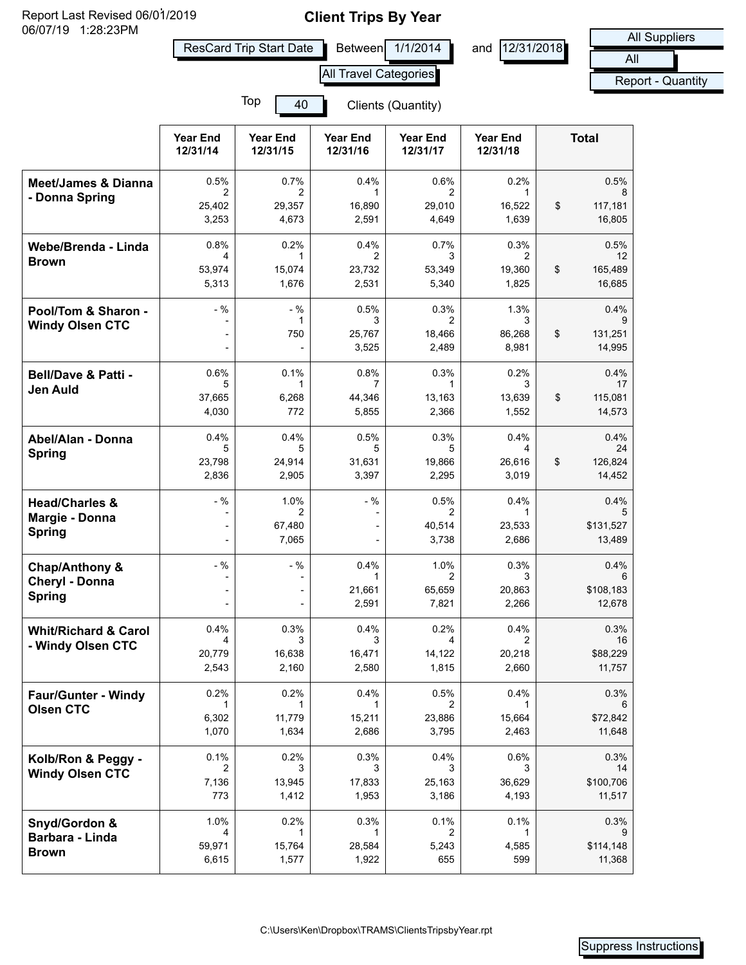Report Last Revised 06/01/2019<br>06/07/19 1:28:23PM<br>All Suppliers **Report Last Revised 06/01/2019** 

ResCard Trip Start Date Between 1/1/2014 and 12/31/2018

All port - Quantity

|                                                      | All Travel Categories           |                              |                              |                              |                              | Rep |                                 |
|------------------------------------------------------|---------------------------------|------------------------------|------------------------------|------------------------------|------------------------------|-----|---------------------------------|
|                                                      | Top<br>40<br>Clients (Quantity) |                              |                              |                              |                              |     |                                 |
|                                                      | <b>Year End</b><br>12/31/14     | <b>Year End</b><br>12/31/15  | <b>Year End</b><br>12/31/16  | <b>Year End</b><br>12/31/17  | <b>Year End</b><br>12/31/18  |     | <b>Total</b>                    |
| <b>Meet/James &amp; Dianna</b><br>- Donna Spring     | 0.5%<br>2                       | 0.7%<br>2                    | 0.4%<br>1                    | 0.6%<br>2                    | 0.2%<br>1                    |     | 0.5%<br>8                       |
|                                                      | 25,402<br>3,253                 | 29,357<br>4,673              | 16,890<br>2,591              | 29,010<br>4,649              | 16,522<br>1,639              | \$  | 117,181<br>16,805               |
| Webe/Brenda - Linda<br><b>Brown</b>                  | 0.8%<br>4<br>53,974<br>5,313    | 0.2%<br>1<br>15,074<br>1,676 | 0.4%<br>2<br>23,732<br>2,531 | 0.7%<br>3<br>53,349<br>5,340 | 0.3%<br>2<br>19,360<br>1,825 | \$  | 0.5%<br>12<br>165,489<br>16,685 |
| Pool/Tom & Sharon -<br><b>Windy Olsen CTC</b>        | $-$ %                           | $-$ %<br>1                   | 0.5%<br>3                    | 0.3%<br>2                    | 1.3%<br>3                    |     | 0.4%                            |
|                                                      | $\overline{\phantom{0}}$        | 750                          | 25,767<br>3,525              | 18,466<br>2,489              | 86,268<br>8,981              | \$  | 131,251<br>14,995               |
| <b>Bell/Dave &amp; Patti -</b><br><b>Jen Auld</b>    | 0.6%<br>5                       | 0.1%<br>1                    | 0.8%<br>7                    | 0.3%<br>1                    | 0.2%<br>3                    |     | 0.4%<br>17                      |
|                                                      | 37,665<br>4,030                 | 6,268<br>772                 | 44,346<br>5,855              | 13,163<br>2,366              | 13,639<br>1,552              | \$  | 115,081<br>14,573               |
| Abel/Alan - Donna<br><b>Spring</b>                   | 0.4%<br>5                       | 0.4%<br>5                    | 0.5%<br>5                    | 0.3%<br>5                    | 0.4%<br>4                    |     | 0.4%<br>24                      |
|                                                      | 23,798<br>2,836                 | 24,914<br>2,905              | 31,631<br>3,397              | 19,866<br>2,295              | 26,616<br>3,019              | \$  | 126,824<br>14,452               |
| <b>Head/Charles &amp;</b><br>Margie - Donna          | $-$ %                           | 1.0%<br>2                    | $-$ %                        | 0.5%<br>2                    | 0.4%<br>1                    |     | 0.4%<br>5                       |
| <b>Spring</b>                                        |                                 | 67,480<br>7,065              |                              | 40,514<br>3,738              | 23,533<br>2,686              |     | \$131,527<br>13,489             |
| <b>Chap/Anthony &amp;</b><br>Cheryl - Donna          | $-$ %                           | $-$ %                        | 0.4%<br>1                    | 1.0%<br>2                    | 0.3%<br>3                    |     | 0.4%<br>6                       |
| <b>Spring</b>                                        |                                 |                              | 21,661<br>2,591              | 65,659<br>7,821              | 20,863<br>2,266              |     | \$108,183<br>12,678             |
| <b>Whit/Richard &amp; Carol</b><br>- Windy Olsen CTC | 0.4%<br>4                       | 0.3%<br>3                    | 0.4%<br>3                    | 0.2%<br>4                    | 0.4%<br>$\mathcal{P}$        |     | 0.3%<br>16                      |
|                                                      | 20,779<br>2,543                 | 16,638<br>2,160              | 16,471<br>2,580              | 14,122<br>1,815              | 20,218<br>2,660              |     | \$88,229<br>11,757              |
| <b>Faur/Gunter - Windy</b><br><b>Olsen CTC</b>       | 0.2%                            | 0.2%                         | 0.4%<br>1                    | 0.5%<br>2                    | 0.4%<br>1                    |     | 0.3%<br>6                       |
|                                                      | 6,302<br>1,070                  | 11,779<br>1,634              | 15,211<br>2,686              | 23,886<br>3,795              | 15,664<br>2,463              |     | \$72,842<br>11,648              |
| Kolb/Ron & Peggy -                                   | 0.1%<br>2                       | 0.2%<br>3                    | 0.3%<br>3                    | 0.4%<br>3                    | 0.6%<br>3                    |     | 0.3%<br>14                      |
| <b>Windy Olsen CTC</b>                               | 7,136<br>773                    | 13,945<br>1,412              | 17,833<br>1,953              | 25,163<br>3,186              | 36,629<br>4,193              |     | \$100,706<br>11,517             |
| Snyd/Gordon &<br>Barbara - Linda<br><b>Brown</b>     | 1.0%<br>4<br>59,971<br>6,615    | 0.2%<br>1<br>15,764<br>1,577 | 0.3%<br>1<br>28,584<br>1,922 | 0.1%<br>2<br>5,243<br>655    | 0.1%<br>1<br>4,585<br>599    |     | 0.3%<br>\$114,148<br>11,368     |
|                                                      |                                 |                              |                              |                              |                              |     |                                 |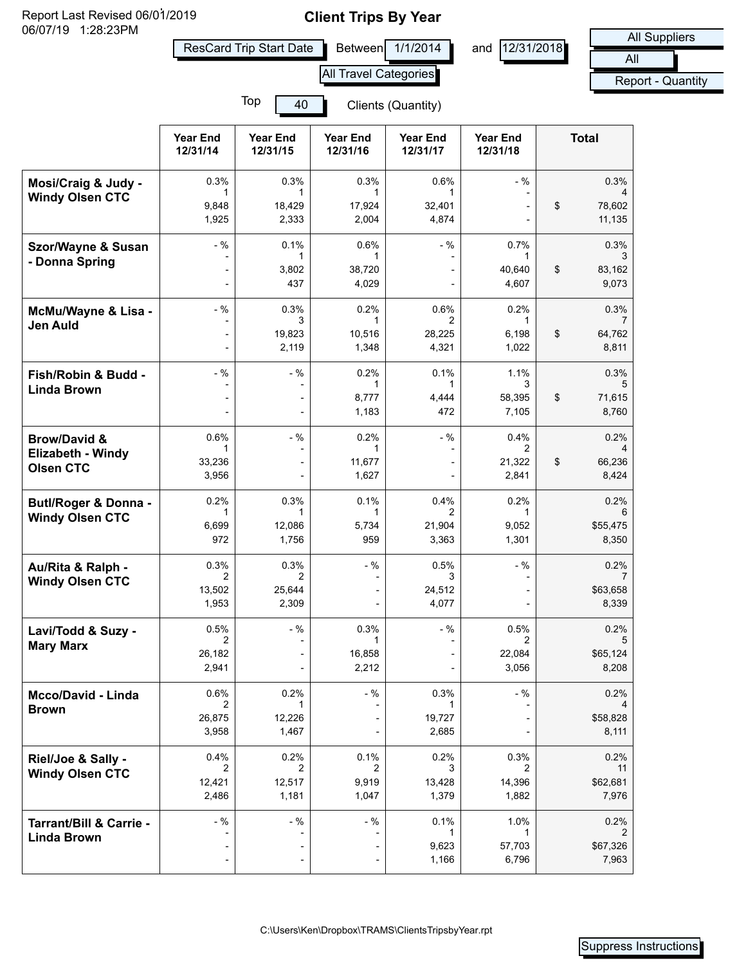Report Last Revised 06/01/2019<br>06/07/19 1:28:23PM<br>All Suppliers Report Last Revised 06/01/2019

ResCard Trip Start Date Between 1/1/2014 and 12/31/2018

All port - Quantity

|                                               | All Travel Categories       |                                |                              |                             |                              | Rep                                |
|-----------------------------------------------|-----------------------------|--------------------------------|------------------------------|-----------------------------|------------------------------|------------------------------------|
|                                               |                             |                                |                              |                             |                              |                                    |
|                                               | <b>Year End</b><br>12/31/14 | <b>Year End</b><br>12/31/15    | <b>Year End</b><br>12/31/16  | <b>Year End</b><br>12/31/17 | <b>Year End</b><br>12/31/18  | <b>Total</b>                       |
| Mosi/Craig & Judy -<br><b>Windy Olsen CTC</b> | 0.3%<br>1<br>9,848          | 0.3%<br>$\mathbf{1}$<br>18,429 | 0.3%<br>1<br>17,924          | 0.6%<br>1<br>32,401         | $-$ %                        | \$<br>0.3%<br>78,602               |
|                                               | 1,925                       | 2,333                          | 2,004                        | 4,874                       |                              | 11,135                             |
| Szor/Wayne & Susan<br>- Donna Spring          | $-$ %                       | 0.1%<br>1<br>3,802<br>437      | 0.6%<br>1<br>38,720<br>4,029 | $-$ %                       | 0.7%<br>1<br>40,640<br>4,607 | \$<br>0.3%<br>3<br>83,162<br>9,073 |
|                                               |                             |                                |                              |                             |                              |                                    |
| McMu/Wayne & Lisa -<br>Jen Auld               | $-$ %                       | 0.3%<br>3<br>19,823            | 0.2%<br>10,516               | 0.6%<br>2<br>28,225         | 0.2%                         | \$<br>0.3%<br>64,762               |
|                                               |                             | 2,119                          | 1,348                        | 4,321                       | 6,198<br>1,022               | 8,811                              |
| Fish/Robin & Budd -                           | $-$ %                       | $-$ %                          | 0.2%<br>1                    | 0.1%<br>1                   | 1.1%<br>3                    | 0.3%                               |
| <b>Linda Brown</b>                            |                             |                                | 8,777<br>1,183               | 4,444<br>472                | 58,395<br>7,105              | \$<br>71,615<br>8,760              |
| <b>Brow/David &amp;</b>                       | 0.6%                        | $-$ %                          | 0.2%                         | $-$ %                       | 0.4%                         | 0.2%                               |
| Elizabeth - Windy<br><b>Olsen CTC</b>         | 1<br>33,236<br>3,956        |                                | 1<br>11,677<br>1,627         |                             | 2<br>21,322<br>2,841         | \$<br>66,236<br>8,424              |
| Butl/Roger & Donna -                          | 0.2%<br>1                   | 0.3%<br>1                      | 0.1%<br>1                    | 0.4%<br>2                   | 0.2%<br>1                    | 0.2%<br>6                          |
| <b>Windy Olsen CTC</b>                        | 6,699<br>972                | 12,086<br>1,756                | 5,734<br>959                 | 21,904<br>3,363             | 9,052<br>1,301               | \$55,475<br>8,350                  |
| Au/Rita & Ralph -<br><b>Windy Olsen CTC</b>   | 0.3%<br>2                   | 0.3%<br>2                      | $-$ %                        | 0.5%<br>3                   | $-$ %                        | 0.2%                               |
|                                               | 13,502<br>1,953             | 25,644<br>2,309                |                              | 24,512<br>4,077             |                              | \$63,658<br>8,339                  |
| Lavi/Todd & Suzy -<br><b>Mary Marx</b>        | 0.5%                        | $-$ %                          | 0.3%<br>1                    | $-$ %                       | 0.5%                         | 0.2%                               |
|                                               | 26,182<br>2,941             |                                | 16,858<br>2,212              |                             | 22,084<br>3,056              | \$65,124<br>8,208                  |
| <b>Mcco/David - Linda</b>                     | 0.6%<br>2                   | 0.2%<br>1                      | $-$ %                        | 0.3%<br>1                   | - %                          | 0.2%                               |
| <b>Brown</b>                                  | 26,875<br>3,958             | 12,226<br>1,467                |                              | 19,727<br>2,685             |                              | \$58,828<br>8,111                  |
| Riel/Joe & Sally -                            | 0.4%<br>2                   | 0.2%<br>2                      | 0.1%<br>2                    | 0.2%<br>3                   | 0.3%<br>2                    | 0.2%<br>11                         |
| <b>Windy Olsen CTC</b>                        | 12,421<br>2,486             | 12,517<br>1,181                | 9,919<br>1,047               | 13,428<br>1,379             | 14,396<br>1,882              | \$62,681<br>7,976                  |
|                                               |                             |                                |                              |                             |                              |                                    |
| Tarrant/Bill & Carrie -<br><b>Linda Brown</b> | $-$ %                       | - %                            | $-$ %                        | 0.1%                        | 1.0%                         | 0.2%                               |
|                                               | $\overline{a}$              |                                |                              | 9,623<br>1,166              | 57,703<br>6,796              | \$67,326<br>7,963                  |